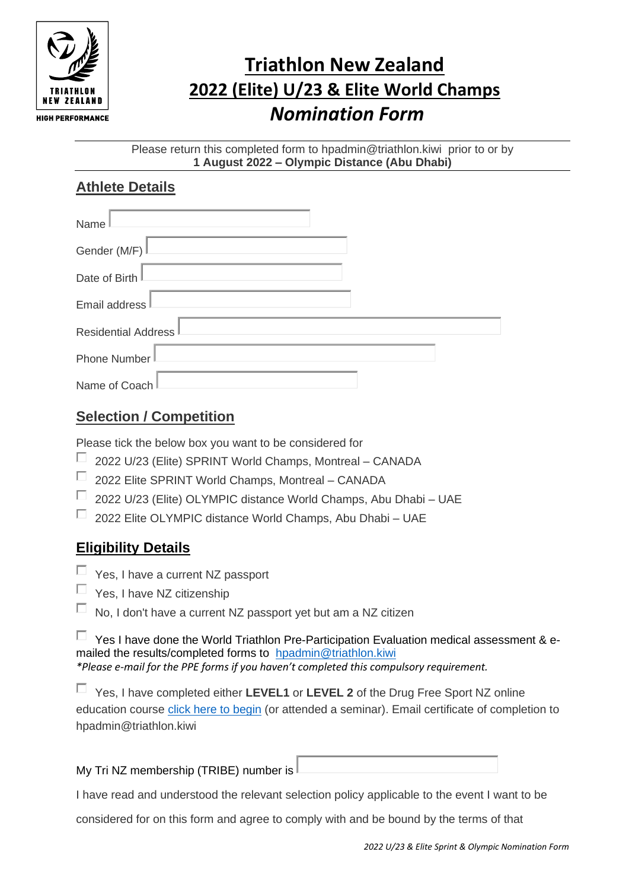

## **Triathlon New Zealand 2022 (Elite) U/23 & Elite World Champs** *Nomination Form*

Please return this completed form to hpadmin@triathlon.kiwi prior to or by **1 August 2022 – Olympic Distance (Abu Dhabi)**

## **Athlete Details**

| Name                |
|---------------------|
| Gender (M/F)        |
| Date of Birth       |
| Email address       |
| Residential Address |
| Phone Number        |
| Name of Coach       |

## **Selection / Competition**

Please tick the below box you want to be considered for

- П 2022 U/23 (Elite) SPRINT World Champs, Montreal – CANADA
- П 2022 Elite SPRINT World Champs, Montreal – CANADA
- $\Box$ 2022 U/23 (Elite) OLYMPIC distance World Champs, Abu Dhabi – UAE
- $\Box$  2022 Elite OLYMPIC distance World Champs, Abu Dhabi UAE

## **Eligibility Details**

- $\Box$  Yes, I have a current NZ passport
- Yes, I have NZ citizenship
- П No, I don't have a current NZ passport yet but am a NZ citizen

 $\Box$  Yes I have done the World Triathlon Pre-Participation Evaluation medical assessment & emailed the results/completed forms to [hpadmin@triathlon.kiwi](mailto:hpadmin@triathlon.kiwi) *\*Please e-mail for the PPE forms if you haven't completed this compulsory requirement.*

Yes, I have completed either **LEVEL1** or **LEVEL 2** of the Drug Free Sport NZ online education course [click here to begin](https://drugfreesport.kineoportal.co.nz/) (or attended a seminar). Email certificate of completion to hpadmin@triathlon.kiwi

My Tri NZ membership (TRIBE) number is

I have read and understood the relevant selection policy applicable to the event I want to be

considered for on this form and agree to comply with and be bound by the terms of that